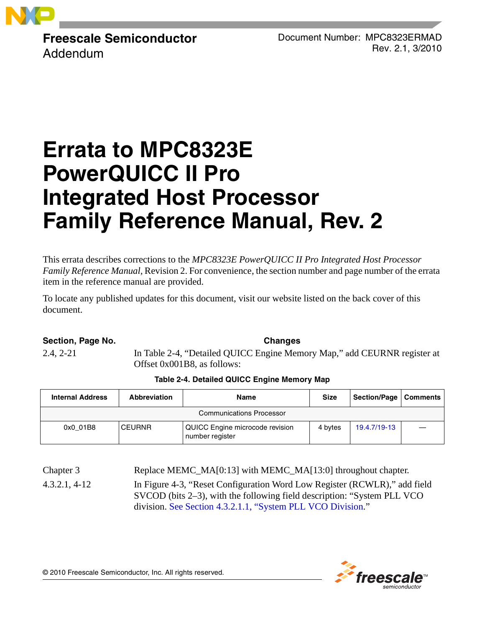

**Freescale Semiconductor** Addendum

Document Number: MPC8323ERMAD Rev. 2.1, 3/2010

# **Errata to MPC8323E PowerQUICC II Pro Integrated Host Processor Family Reference Manual, Rev. 2**

This errata describes corrections to the *MPC8323E PowerQUICC II Pro Integrated Host Processor Family Reference Manual,* Revision 2. For convenience, the section number and page number of the errata item in the reference manual are provided.

To locate any published updates for this document, visit our website listed on the back cover of this document.

#### **Section, Page No. Changes**

2.4, 2-21 In Table 2-4, "Detailed QUICC Engine Memory Map," add CEURNR register at Offset 0x001B8, as follows:

#### **Table 2-4. Detailed QUICC Engine Memory Map**

| <b>Internal Address</b><br><b>Abbreviation</b> |               | <b>Size</b><br>Name                                |         | Section/Page   Comments |  |
|------------------------------------------------|---------------|----------------------------------------------------|---------|-------------------------|--|
|                                                |               | <b>Communications Processor</b>                    |         |                         |  |
| 0x0 01B8                                       | <b>CEURNR</b> | QUICC Engine microcode revision<br>number register | 4 bytes | 19.4.7/19-13            |  |

Chapter 3 Replace MEMC\_MA[0:13] with MEMC\_MA[13:0] throughout chapter. 4.3.2.1, 4-12 In Figure 4-3, "Reset Configuration Word Low Register (RCWLR)," add field SVCOD (bits 2–3), with the following field description: "System PLL VCO division. See Section 4.3.2.1.1, "System PLL VCO Division."



© 2010 Freescale Semiconductor, Inc. All rights reserved.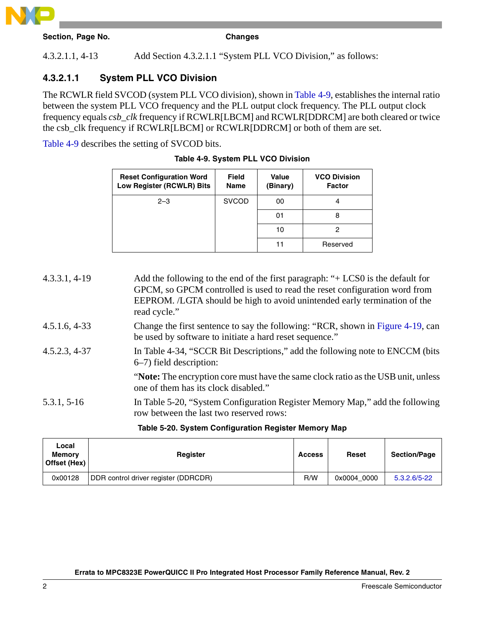

| Section. Page No. |  |  |
|-------------------|--|--|

**Changes** 

4.3.2.1.1, 4-13 Add Section 4.3.2.1.1 "System PLL VCO Division," as follows:

### **4.3.2.1.1 System PLL VCO Division**

The RCWLR field SVCOD (system PLL VCO division), shown in [Table 4-9,](#page-1-0) establishes the internal ratio between the system PLL VCO frequency and the PLL output clock frequency. The PLL output clock frequency equals *csb\_clk* frequency if RCWLR[LBCM] and RCWLR[DDRCM] are both cleared or twice the csb\_clk frequency if RCWLR[LBCM] or RCWLR[DDRCM] or both of them are set.

<span id="page-1-0"></span>[Table 4-9](#page-1-0) describes the setting of SVCOD bits.

| <b>Reset Configuration Word</b><br>Low Register (RCWLR) Bits | <b>Field</b><br><b>Name</b> | Value<br>(Binary) | <b>VCO Division</b><br><b>Factor</b> |
|--------------------------------------------------------------|-----------------------------|-------------------|--------------------------------------|
| $2 - 3$                                                      | <b>SVCOD</b>                | 00                |                                      |
|                                                              |                             | 01                | 8                                    |
|                                                              |                             | 10                |                                      |
|                                                              |                             | 11                | Reserved                             |

|  |  | Table 4-9. System PLL VCO Division |
|--|--|------------------------------------|
|  |  |                                    |

4.3.3.1, 4-19 Add the following to the end of the first paragraph: "+ LCS0 is the default for GPCM, so GPCM controlled is used to read the reset configuration word from EEPROM. /LGTA should be high to avoid unintended early termination of the read cycle." 4.5.1.6, 4-33 Change the first sentence to say the following: "RCR, shown in Figure 4-19, can be used by software to initiate a hard reset sequence." 4.5.2.3, 4-37 In Table 4-34, "SCCR Bit Descriptions," add the following note to ENCCM (bits 6–7) field description: "**Note:** The encryption core must have the same clock ratio as the USB unit, unless one of them has its clock disabled." 5.3.1, 5-16 In Table 5-20, "System Configuration Register Memory Map," add the following row between the last two reserved rows:

#### **Table 5-20. System Configuration Register Memory Map**

| Local<br><b>Memory</b><br>Offset (Hex) | Register                             | <b>Access</b> | <b>Reset</b> | <b>Section/Page</b> |
|----------------------------------------|--------------------------------------|---------------|--------------|---------------------|
| 0x00128                                | DDR control driver register (DDRCDR) | R/W           | 0x0004 0000  | 5.3.2.6/5-22        |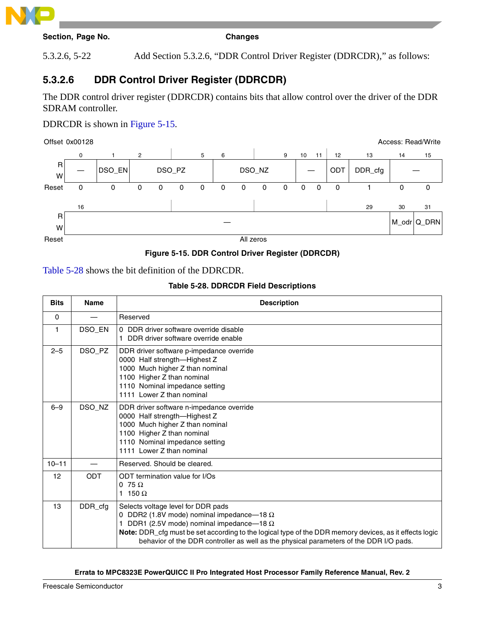

5.3.2.6, 5-22 Add Section 5.3.2.6, "DDR Control Driver Register (DDRCDR)," as follows:

## **5.3.2.6 DDR Control Driver Register (DDRCDR)**

The DDR control driver register (DDRCDR) contains bits that allow control over the driver of the DDR SDRAM controller.

DDRCDR is shown in Figure 5-15.

Offset 0x00128 Access: Read/Write



#### **Figure 5-15. DDR Control Driver Register (DDRCDR)**

#### Table 5-28 shows the bit definition of the DDRCDR.

#### **Table 5-28. DDRCDR Field Descriptions**

| <b>Bits</b>  | <b>Name</b> | <b>Description</b>                                                                                                                                                                                                                                                                                                                           |
|--------------|-------------|----------------------------------------------------------------------------------------------------------------------------------------------------------------------------------------------------------------------------------------------------------------------------------------------------------------------------------------------|
| $\mathbf{0}$ |             | Reserved                                                                                                                                                                                                                                                                                                                                     |
| 1            | DSO_EN      | 0 DDR driver software override disable<br>1 DDR driver software override enable                                                                                                                                                                                                                                                              |
| $2 - 5$      | DSO_PZ      | DDR driver software p-impedance override<br>0000 Half strength-Highest Z<br>1000 Much higher Z than nominal<br>1100 Higher Z than nominal<br>1110 Nominal impedance setting<br>1111 Lower Z than nominal                                                                                                                                     |
| $6 - 9$      | DSO_NZ      | DDR driver software n-impedance override<br>0000 Half strength-Highest Z<br>1000 Much higher Z than nominal<br>1100 Higher Z than nominal<br>1110 Nominal impedance setting<br>1111 Lower Z than nominal                                                                                                                                     |
| $10 - 11$    |             | Reserved. Should be cleared.                                                                                                                                                                                                                                                                                                                 |
| 12           | <b>ODT</b>  | ODT termination value for I/Os<br>0 75 $\Omega$<br>1 150 $\Omega$                                                                                                                                                                                                                                                                            |
| 13           | DDR cfg     | Selects voltage level for DDR pads<br>0 DDR2 (1.8V mode) nominal impedance-18 $\Omega$<br>DDR1 (2.5V mode) nominal impedance-18 $\Omega$<br>Note: DDR_cfg must be set according to the logical type of the DDR memory devices, as it effects logic<br>behavior of the DDR controller as well as the physical parameters of the DDR I/O pads. |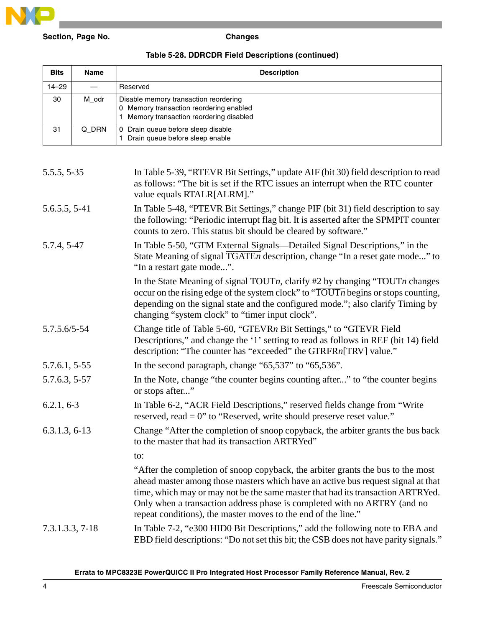

#### **Table 5-28. DDRCDR Field Descriptions (continued)**

| <b>Bits</b> | Name  | <b>Description</b>                                                                                                         |
|-------------|-------|----------------------------------------------------------------------------------------------------------------------------|
| 14-29       |       | Reserved                                                                                                                   |
| 30          | M odr | Disable memory transaction reordering<br>0 Memory transaction reordering enabled<br>Memory transaction reordering disabled |
| 31          | Q DRN | 0 Drain queue before sleep disable<br>Drain queue before sleep enable                                                      |

| 5.5.5, 5-35     | In Table 5-39, "RTEVR Bit Settings," update AIF (bit 30) field description to read<br>as follows: "The bit is set if the RTC issues an interrupt when the RTC counter<br>value equals RTALR[ALRM]."                                                                                                                                                                                                 |
|-----------------|-----------------------------------------------------------------------------------------------------------------------------------------------------------------------------------------------------------------------------------------------------------------------------------------------------------------------------------------------------------------------------------------------------|
| 5.6.5.5, 5-41   | In Table 5-48, "PTEVR Bit Settings," change PIF (bit 31) field description to say<br>the following: "Periodic interrupt flag bit. It is asserted after the SPMPIT counter<br>counts to zero. This status bit should be cleared by software."                                                                                                                                                        |
| 5.7.4, 5-47     | In Table 5-50, "GTM External Signals—Detailed Signal Descriptions," in the<br>State Meaning of signal TGATEn description, change "In a reset gate mode" to<br>"In a restart gate mode".                                                                                                                                                                                                             |
|                 | In the State Meaning of signal $\overline{TOUTn}$ , clarify #2 by changing " $\overline{TOUTn}$ changes<br>occur on the rising edge of the system clock" to " $\overline{TOUTn}$ begins or stops counting,<br>depending on the signal state and the configured mode."; also clarify Timing by<br>changing "system clock" to "timer input clock".                                                    |
| 5.7.5.6/5-54    | Change title of Table 5-60, "GTEVRn Bit Settings," to "GTEVR Field"<br>Descriptions," and change the '1' setting to read as follows in REF (bit 14) field<br>description: "The counter has "exceeded" the GTRFRn[TRV] value."                                                                                                                                                                       |
| 5.7.6.1, 5-55   | In the second paragraph, change " $65,537$ " to " $65,536$ ".                                                                                                                                                                                                                                                                                                                                       |
| 5.7.6.3, 5-57   | In the Note, change "the counter begins counting after" to "the counter begins<br>or stops after"                                                                                                                                                                                                                                                                                                   |
| $6.2.1, 6-3$    | In Table 6-2, "ACR Field Descriptions," reserved fields change from "Write"<br>reserved, read $= 0$ " to "Reserved, write should preserve reset value."                                                                                                                                                                                                                                             |
| $6.3.1.3, 6-13$ | Change "After the completion of snoop copyback, the arbiter grants the bus back<br>to the master that had its transaction ARTRYed"                                                                                                                                                                                                                                                                  |
|                 | to:                                                                                                                                                                                                                                                                                                                                                                                                 |
|                 | "After the completion of snoop copyback, the arbiter grants the bus to the most<br>ahead master among those masters which have an active bus request signal at that<br>time, which may or may not be the same master that had its transaction ARTRYed.<br>Only when a transaction address phase is completed with no ARTRY (and no<br>repeat conditions), the master moves to the end of the line." |
| 7.3.1.3.3, 7-18 | In Table 7-2, "e300 HID0 Bit Descriptions," add the following note to EBA and<br>EBD field descriptions: "Do not set this bit; the CSB does not have parity signals."                                                                                                                                                                                                                               |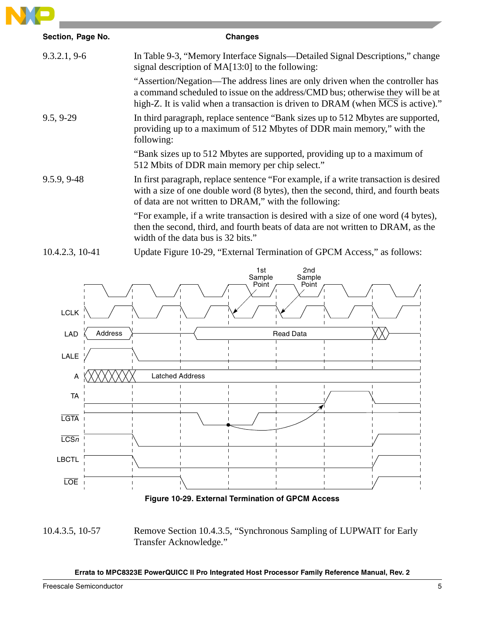

| Section, Page No. | <b>Changes</b>                                                                                                                                                                                                                                                  |
|-------------------|-----------------------------------------------------------------------------------------------------------------------------------------------------------------------------------------------------------------------------------------------------------------|
| 9.3.2.1, 9.6      | In Table 9-3, "Memory Interface Signals—Detailed Signal Descriptions," change<br>signal description of MA[13:0] to the following:                                                                                                                               |
|                   | "Assertion/Negation—The address lines are only driven when the controller has<br>a command scheduled to issue on the address/CMD bus; otherwise they will be at<br>high-Z. It is valid when a transaction is driven to DRAM (when $\overline{MCS}$ is active)." |
| $9.5, 9-29$       | In third paragraph, replace sentence "Bank sizes up to 512 Mbytes are supported,<br>providing up to a maximum of 512 Mbytes of DDR main memory," with the<br>following:                                                                                         |
|                   | "Bank sizes up to 512 Mbytes are supported, providing up to a maximum of<br>512 Mbits of DDR main memory per chip select."                                                                                                                                      |
| 9.5.9, 9-48       | In first paragraph, replace sentence "For example, if a write transaction is desired<br>with a size of one double word (8 bytes), then the second, third, and fourth beats<br>of data are not written to DRAM," with the following:                             |
|                   | "For example, if a write transaction is desired with a size of one word (4 bytes),<br>then the second, third, and fourth beats of data are not written to DRAM, as the<br>width of the data bus is 32 bits."                                                    |
| 10.4.2.3, 10-41   | Update Figure 10-29, "External Termination of GPCM Access," as follows:                                                                                                                                                                                         |



**Figure 10-29. External Termination of GPCM Access**

10.4.3.5, 10-57 Remove Section 10.4.3.5, "Synchronous Sampling of LUPWAIT for Early Transfer Acknowledge."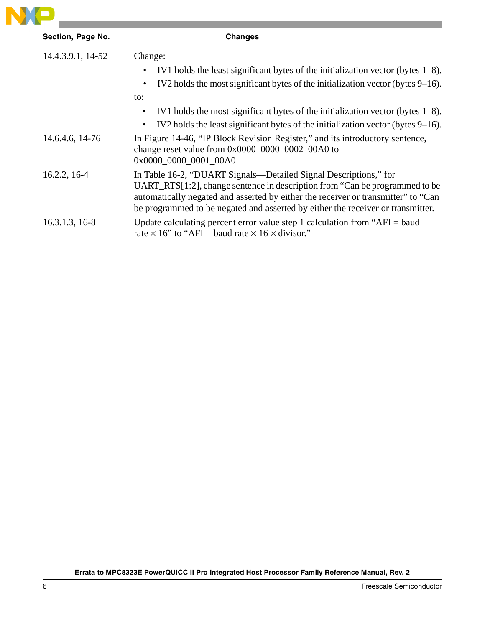

| Section, Page No. | <b>Changes</b>                                                                                                                                                                                                                                                                                                                                |
|-------------------|-----------------------------------------------------------------------------------------------------------------------------------------------------------------------------------------------------------------------------------------------------------------------------------------------------------------------------------------------|
| 14.4.3.9.1, 14-52 | Change:<br>IV1 holds the least significant bytes of the initialization vector (bytes $1-8$ ).<br>IV2 holds the most significant bytes of the initialization vector (bytes 9–16).<br>٠<br>to:                                                                                                                                                  |
| 14.6.4.6, 14-76   | IV1 holds the most significant bytes of the initialization vector (bytes $1-8$ ).<br>$\bullet$<br>IV2 holds the least significant bytes of the initialization vector (bytes $9-16$ ).<br>$\bullet$<br>In Figure 14-46, "IP Block Revision Register," and its introductory sentence,                                                           |
|                   | change reset value from 0x0000_0000_0002_00A0 to<br>0x0000 0000 0001 00A0.                                                                                                                                                                                                                                                                    |
| 16.2.2, 16-4      | In Table 16-2, "DUART Signals—Detailed Signal Descriptions," for<br>$\overline{\text{UART\_RTS}}$ [1:2], change sentence in description from "Can be programmed to be<br>automatically negated and asserted by either the receiver or transmitter" to "Can<br>be programmed to be negated and asserted by either the receiver or transmitter. |
| $16.3.1.3, 16-8$  | Update calculating percent error value step 1 calculation from " $AFI = baud$<br>rate $\times$ 16" to "AFI = baud rate $\times$ 16 $\times$ divisor."                                                                                                                                                                                         |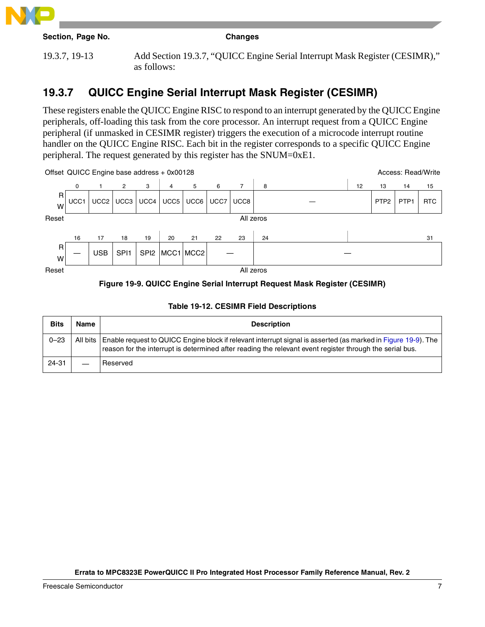

| Section, Page No. |  |  |
|-------------------|--|--|
|-------------------|--|--|

#### **Changes**

19.3.7, 19-13 Add Section 19.3.7, "QUICC Engine Serial Interrupt Mask Register (CESIMR)," as follows:

# **19.3.7 QUICC Engine Serial Interrupt Mask Register (CESIMR)**

These registers enable the QUICC Engine RISC to respond to an interrupt generated by the QUICC Engine peripherals, off-loading this task from the core processor. An interrupt request from a QUICC Engine peripheral (if unmasked in CESIMR register) triggers the execution of a microcode interrupt routine handler on the QUICC Engine RISC. Each bit in the register corresponds to a specific QUICC Engine peripheral. The request generated by this register has the SNUM=0xE1.



#### **Figure 19-9. QUICC Engine Serial Interrupt Request Mask Register (CESIMR)**

| <b>Bits</b> | Name | <b>Description</b>                                                                                                                                                                                                                   |
|-------------|------|--------------------------------------------------------------------------------------------------------------------------------------------------------------------------------------------------------------------------------------|
| $0 - 23$    |      | All bits   Enable request to QUICC Engine block if relevant interrupt signal is asserted (as marked in Figure 19-9). The<br>reason for the interrupt is determined after reading the relevant event register through the serial bus. |
| 24-31       |      | Reserved                                                                                                                                                                                                                             |

#### **Table 19-12. CESIMR Field Descriptions**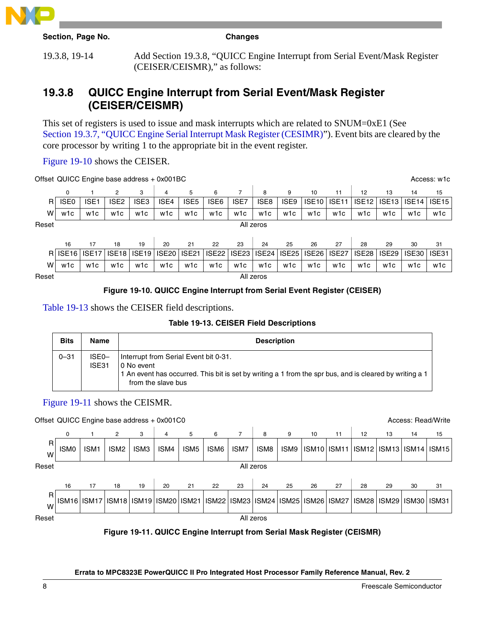

19.3.8, 19-14 Add Section 19.3.8, "QUICC Engine Interrupt from Serial Event/Mask Register (CEISER/CEISMR)," as follows:

# **19.3.8 QUICC Engine Interrupt from Serial Event/Mask Register (CEISER/CEISMR)**

This set of registers is used to issue and mask interrupts which are related to SNUM=0xE1 (See Section 19.3.7, "QUICC Engine Serial Interrupt Mask Register (CESIMR)"). Event bits are cleared by the core processor by writing 1 to the appropriate bit in the event register.

Figure 19-10 shows the CEISER.

|       | Offset QUICC Engine base address + 0x001BC<br>Access: w1c |                  |                   |                  |              |                  |                   |       |           |                  |                   |                   |                   |                   |                   |                   |
|-------|-----------------------------------------------------------|------------------|-------------------|------------------|--------------|------------------|-------------------|-------|-----------|------------------|-------------------|-------------------|-------------------|-------------------|-------------------|-------------------|
|       | 0                                                         |                  | $\overline{2}$    | 3                | 4            | 5                | 6                 | 7     | 8         | 9                | 10                | 11                | 12                | 13                | 14                | 15                |
| R.    | ISE <sub>0</sub>                                          | ISE <sub>1</sub> | ISE <sub>2</sub>  | ISE <sub>3</sub> | ISE4         | ISE <sub>5</sub> | ISE <sub>6</sub>  | ISE7  | ISE8      | ISE <sub>9</sub> | ISE <sub>10</sub> | <b>ISE11</b>      | ISE <sub>12</sub> | ISE <sub>13</sub> | ISE <sub>14</sub> | ISE <sub>15</sub> |
| W     | w1c                                                       | w1c              | w1c               | w1c              | w1c          | w1c              | w1c               | w1c   | w1c       | w1c              | w1c               | w1c               | w1c               | w1c               | w1c               | w1c               |
| Reset |                                                           |                  |                   |                  |              |                  |                   |       | All zeros |                  |                   |                   |                   |                   |                   |                   |
|       |                                                           |                  |                   |                  |              |                  |                   |       |           |                  |                   |                   |                   |                   |                   |                   |
|       | 16                                                        | 17               | 18                | 19               | 20           | 21               | 22                | 23    | 24        | 25               | 26                | 27                | 28                | 29                | 30                | 31                |
|       | RISE <sub>16</sub>                                        | <b>ISE17</b>     | ISE <sub>18</sub> | <b>ISE19</b>     | <b>ISE20</b> | <b>ISE21</b>     | ISE <sub>22</sub> | ISE23 | ISE24     | ISE25            | ISE26             | ISE <sub>27</sub> | ISE <sub>28</sub> | ISE29             | ISE30             | ISE31             |
| W     | w1c                                                       | w1c              | w1c               | w1c              | w1c          | w1c              | w1c               | w1c   | w1c       | w1c              | w1c               | w1c               | w1c               | w1c               | w1c               | w1c               |
| Reset |                                                           |                  |                   |                  |              |                  |                   |       | All zeros |                  |                   |                   |                   |                   |                   |                   |
|       |                                                           |                  |                   |                  |              |                  |                   |       |           |                  |                   |                   |                   |                   |                   |                   |

#### **Figure 19-10. QUICC Engine Interrupt from Serial Event Register (CEISER)**

Table 19-13 shows the CEISER field descriptions.

#### **Table 19-13. CEISER Field Descriptions**

| <b>Bits</b> | Name           | <b>Description</b>                                                                                                                                                                    |
|-------------|----------------|---------------------------------------------------------------------------------------------------------------------------------------------------------------------------------------|
| $0 - 31$    | ISE0-<br>ISE31 | Interrupt from Serial Event bit 0-31.<br>10 No event<br>1 An event has occurred. This bit is set by writing a 1 from the spr bus, and is cleared by writing a 1<br>from the slave bus |

#### Figure 19-11 shows the CEISMR.

#### Offset QUICC Engine base address + 0x001C0 Access: Read/Write Access: Read/Write

|         |                  | ັ                                                                 |                  |                  |      |                  |      |                |           |      |                   |                   |    |                               |    |       |
|---------|------------------|-------------------------------------------------------------------|------------------|------------------|------|------------------|------|----------------|-----------|------|-------------------|-------------------|----|-------------------------------|----|-------|
|         | 0                |                                                                   | $\overline{2}$   | 3                | 4    | 5                | 6    | $\overline{7}$ | 8         | 9    | 10                | 11                | 12 | 13                            | 14 | 15    |
| R.<br>W | ISM <sub>0</sub> | ISM <sub>1</sub>                                                  | ISM <sub>2</sub> | ISM <sub>3</sub> | ISM4 | ISM <sub>5</sub> | ISM6 | ISM7           | ISM8      | ISM9 | ISM <sub>10</sub> | ISM <sub>11</sub> |    | ISM12   ISM13   ISM14   ISM15 |    |       |
| Reset   |                  |                                                                   |                  |                  |      |                  |      |                | All zeros |      |                   |                   |    |                               |    |       |
|         |                  |                                                                   |                  |                  |      |                  |      |                |           |      |                   |                   |    |                               |    |       |
|         | 16               | 17                                                                | 18               | 19               | 20   | 21               | 22   | 23             | 24        | 25   | 26                | 27                | 28 | 29                            | 30 | 31    |
| R.<br>W |                  | ISM16 ISM17 ISM18 ISM19 ISM20 ISM21 ISM22 ISM23 ISM24 ISM25 ISM26 |                  |                  |      |                  |      |                |           |      |                   | ISM <sub>27</sub> |    | ISM28   ISM29   ISM30         |    | ISM31 |
| Reset   |                  |                                                                   |                  |                  |      |                  |      |                | All zeros |      |                   |                   |    |                               |    |       |
|         |                  |                                                                   |                  |                  |      |                  |      |                |           |      |                   |                   |    |                               |    |       |

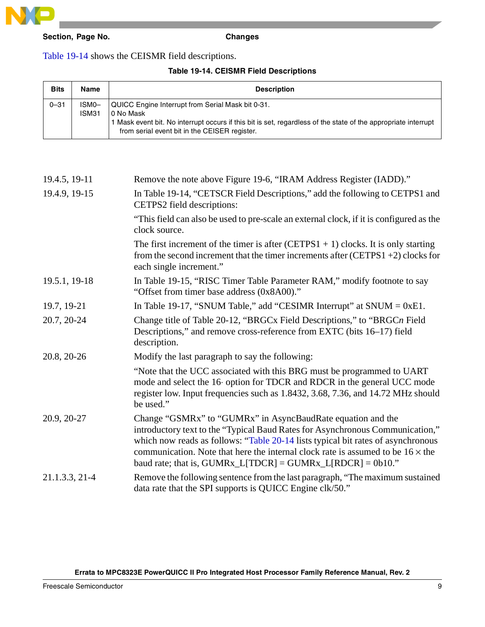

#### Table 19-14 shows the CEISMR field descriptions.

#### **Table 19-14. CEISMR Field Descriptions**

| <b>Bits</b> | Name           | <b>Description</b>                                                                                                                                                                                                                  |
|-------------|----------------|-------------------------------------------------------------------------------------------------------------------------------------------------------------------------------------------------------------------------------------|
| $0 - 31$    | ISM0-<br>ISM31 | QUICC Engine Interrupt from Serial Mask bit 0-31.<br>l 0 No Mask<br>1 Mask event bit. No interrupt occurs if this bit is set, regardless of the state of the appropriate interrupt<br>from serial event bit in the CEISER register. |

| 19.4.5, 19-11  | Remove the note above Figure 19-6, "IRAM Address Register (IADD)."                                                                                                                                                                                                                                                                                                                          |
|----------------|---------------------------------------------------------------------------------------------------------------------------------------------------------------------------------------------------------------------------------------------------------------------------------------------------------------------------------------------------------------------------------------------|
| 19.4.9, 19-15  | In Table 19-14, "CETSCR Field Descriptions," add the following to CETPS1 and<br>CETPS2 field descriptions:                                                                                                                                                                                                                                                                                  |
|                | "This field can also be used to pre-scale an external clock, if it is configured as the<br>clock source.                                                                                                                                                                                                                                                                                    |
|                | The first increment of the timer is after $(CETPS1 + 1)$ clocks. It is only starting<br>from the second increment that the timer increments after $(CETPS1 + 2)$ clocks for<br>each single increment."                                                                                                                                                                                      |
| 19.5.1, 19-18  | In Table 19-15, "RISC Timer Table Parameter RAM," modify footnote to say<br>"Offset from timer base address (0x8A00)."                                                                                                                                                                                                                                                                      |
| 19.7, 19-21    | In Table 19-17, "SNUM Table," add "CESIMR Interrupt" at $SNUM = 0xE1$ .                                                                                                                                                                                                                                                                                                                     |
| 20.7, 20-24    | Change title of Table 20-12, "BRGCx Field Descriptions," to "BRGCn Field<br>Descriptions," and remove cross-reference from EXTC (bits 16–17) field<br>description.                                                                                                                                                                                                                          |
| 20.8, 20-26    | Modify the last paragraph to say the following:                                                                                                                                                                                                                                                                                                                                             |
|                | "Note that the UCC associated with this BRG must be programmed to UART<br>mode and select the 16 option for TDCR and RDCR in the general UCC mode<br>register low. Input frequencies such as 1.8432, 3.68, 7.36, and 14.72 MHz should<br>be used."                                                                                                                                          |
| 20.9, 20-27    | Change "GSMRx" to "GUMRx" in AsyncBaudRate equation and the<br>introductory text to the "Typical Baud Rates for Asynchronous Communication,"<br>which now reads as follows: "Table 20-14 lists typical bit rates of asynchronous<br>communication. Note that here the internal clock rate is assumed to be $16 \times$ the<br>baud rate; that is, GUMRx_L[TDCR] = GUMRx_L[RDCR] = $0b10$ ." |
| 21.1.3.3, 21-4 | Remove the following sentence from the last paragraph, "The maximum sustained<br>data rate that the SPI supports is QUICC Engine clk/50."                                                                                                                                                                                                                                                   |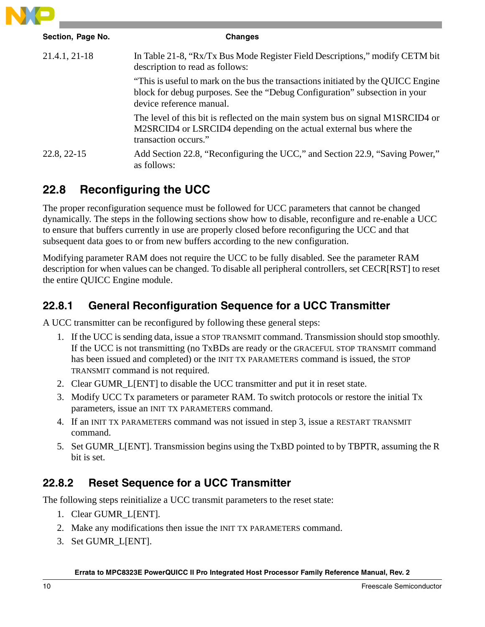

| Section, Page No. | <b>Changes</b>                                                                                                                                                                              |
|-------------------|---------------------------------------------------------------------------------------------------------------------------------------------------------------------------------------------|
| 21.4.1, 21-18     | In Table 21-8, "Rx/Tx Bus Mode Register Field Descriptions," modify CETM bit<br>description to read as follows:                                                                             |
|                   | "This is useful to mark on the bus the transactions initiated by the QUICC Engine<br>block for debug purposes. See the "Debug Configuration" subsection in your<br>device reference manual. |
|                   | The level of this bit is reflected on the main system bus on signal M1SRCID4 or<br>M2SRCID4 or LSRCID4 depending on the actual external bus where the<br>transaction occurs."               |
| 22.8, 22-15       | Add Section 22.8, "Reconfiguring the UCC," and Section 22.9, "Saving Power,"<br>as follows:                                                                                                 |

# **22.8 Reconfiguring the UCC**

The proper reconfiguration sequence must be followed for UCC parameters that cannot be changed dynamically. The steps in the following sections show how to disable, reconfigure and re-enable a UCC to ensure that buffers currently in use are properly closed before reconfiguring the UCC and that subsequent data goes to or from new buffers according to the new configuration.

Modifying parameter RAM does not require the UCC to be fully disabled. See the parameter RAM description for when values can be changed. To disable all peripheral controllers, set CECR[RST] to reset the entire QUICC Engine module.

# **22.8.1 General Reconfiguration Sequence for a UCC Transmitter**

A UCC transmitter can be reconfigured by following these general steps:

- 1. If the UCC is sending data, issue a STOP TRANSMIT command. Transmission should stop smoothly. If the UCC is not transmitting (no TxBDs are ready or the GRACEFUL STOP TRANSMIT command has been issued and completed) or the INIT TX PARAMETERS command is issued, the STOP TRANSMIT command is not required.
- 2. Clear GUMR\_L[ENT] to disable the UCC transmitter and put it in reset state.
- 3. Modify UCC Tx parameters or parameter RAM. To switch protocols or restore the initial Tx parameters, issue an INIT TX PARAMETERS command.
- 4. If an INIT TX PARAMETERS command was not issued in step 3, issue a RESTART TRANSMIT command.
- 5. Set GUMR\_L[ENT]. Transmission begins using the TxBD pointed to by TBPTR, assuming the R bit is set.

# **22.8.2 Reset Sequence for a UCC Transmitter**

The following steps reinitialize a UCC transmit parameters to the reset state:

- 1. Clear GUMR\_L[ENT].
- 2. Make any modifications then issue the INIT TX PARAMETERS command.
- 3. Set GUMR\_L[ENT].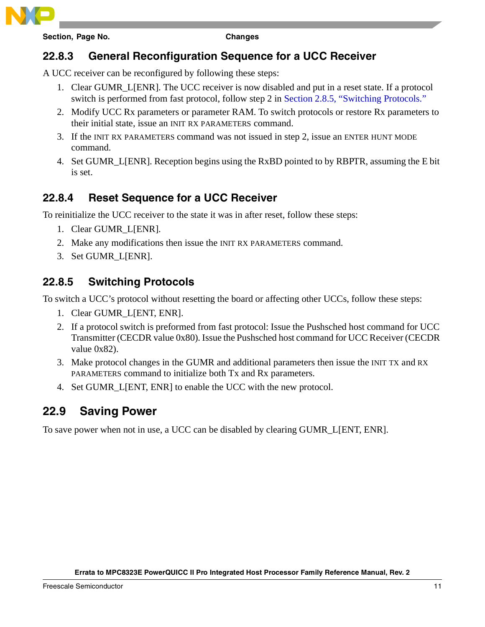# **22.8.3 General Reconfiguration Sequence for a UCC Receiver**

A UCC receiver can be reconfigured by following these steps:

- 1. Clear GUMR\_L[ENR]. The UCC receiver is now disabled and put in a reset state. If a protocol switch is performed from fast protocol, follow step 2 in Section 2.8.5, "Switching Protocols."
- 2. Modify UCC Rx parameters or parameter RAM. To switch protocols or restore Rx parameters to their initial state, issue an INIT RX PARAMETERS command.
- 3. If the INIT RX PARAMETERS command was not issued in step 2, issue an ENTER HUNT MODE command.
- 4. Set GUMR\_L[ENR]. Reception begins using the RxBD pointed to by RBPTR, assuming the E bit is set.

# **22.8.4 Reset Sequence for a UCC Receiver**

To reinitialize the UCC receiver to the state it was in after reset, follow these steps:

- 1. Clear GUMR\_L[ENR].
- 2. Make any modifications then issue the INIT RX PARAMETERS command.
- 3. Set GUMR\_L[ENR].

## **22.8.5 Switching Protocols**

To switch a UCC's protocol without resetting the board or affecting other UCCs, follow these steps:

- 1. Clear GUMR\_L[ENT, ENR].
- 2. If a protocol switch is preformed from fast protocol: Issue the Pushsched host command for UCC Transmitter (CECDR value 0x80). Issue the Pushsched host command for UCC Receiver (CECDR value 0x82).
- 3. Make protocol changes in the GUMR and additional parameters then issue the INIT TX and RX PARAMETERS command to initialize both Tx and Rx parameters.
- 4. Set GUMR\_L[ENT, ENR] to enable the UCC with the new protocol.

# **22.9 Saving Power**

To save power when not in use, a UCC can be disabled by clearing GUMR\_L[ENT, ENR].

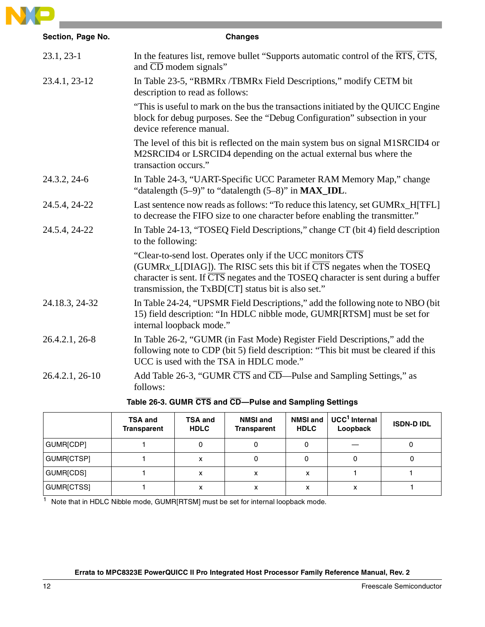

| <b>Changes</b>                                                                                                                                                                                                                                                                                                                |
|-------------------------------------------------------------------------------------------------------------------------------------------------------------------------------------------------------------------------------------------------------------------------------------------------------------------------------|
| In the features list, remove bullet "Supports automatic control of the $\overline{RTS}$ , $\overline{CTS}$ ,<br>and $\overline{CD}$ modem signals"                                                                                                                                                                            |
| In Table 23-5, "RBMRx /TBMRx Field Descriptions," modify CETM bit<br>description to read as follows:                                                                                                                                                                                                                          |
| "This is useful to mark on the bus the transactions initiated by the QUICC Engine<br>block for debug purposes. See the "Debug Configuration" subsection in your<br>device reference manual.                                                                                                                                   |
| The level of this bit is reflected on the main system bus on signal M1SRCID4 or<br>M2SRCID4 or LSRCID4 depending on the actual external bus where the<br>transaction occurs."                                                                                                                                                 |
| In Table 24-3, "UART-Specific UCC Parameter RAM Memory Map," change<br>"datalength $(5-9)$ " to "datalength $(5-8)$ " in $MAX$ _IDL.                                                                                                                                                                                          |
| Last sentence now reads as follows: "To reduce this latency, set GUMRx_H[TFL]<br>to decrease the FIFO size to one character before enabling the transmitter."                                                                                                                                                                 |
| In Table 24-13, "TOSEQ Field Descriptions," change CT (bit 4) field description<br>to the following:                                                                                                                                                                                                                          |
| "Clear-to-send lost. Operates only if the UCC monitors $\overline{CTS}$<br>(GUMRx_L[DIAG]). The RISC sets this bit if $\overline{\text{CTS}}$ negates when the TOSEQ<br>character is sent. If $\overline{CTS}$ negates and the TOSEQ character is sent during a buffer<br>transmission, the TxBD[CT] status bit is also set." |
| In Table 24-24, "UPSMR Field Descriptions," add the following note to NBO (bit)<br>15) field description: "In HDLC nibble mode, GUMR[RTSM] must be set for<br>internal loopback mode."                                                                                                                                        |
| In Table 26-2, "GUMR (in Fast Mode) Register Field Descriptions," add the<br>following note to CDP (bit 5) field description: "This bit must be cleared if this<br>UCC is used with the TSA in HDLC mode."                                                                                                                    |
| Add Table 26-3, "GUMR CTS and CD—Pulse and Sampling Settings," as<br>follows:                                                                                                                                                                                                                                                 |
|                                                                                                                                                                                                                                                                                                                               |

#### **Table 26-3. GUMR CTS and CD—Pulse and Sampling Settings**

|            | <b>TSA and</b><br>Transparent | <b>TSA and</b><br><b>HDLC</b> | <b>NMSI and</b><br><b>Transparent</b> | <b>NMSI and</b><br><b>HDLC</b> | UCC <sup>1</sup> Internal<br>Loopback | <b>ISDN-DIDL</b> |
|------------|-------------------------------|-------------------------------|---------------------------------------|--------------------------------|---------------------------------------|------------------|
| GUMR[CDP]  |                               |                               |                                       |                                |                                       |                  |
| GUMR[CTSP] |                               |                               |                                       |                                | 0                                     |                  |
| GUMR[CDS]  |                               |                               | x                                     | ^                              |                                       |                  |
| GUMR[CTSS] |                               |                               | х                                     | х                              | x                                     |                  |

1 Note that in HDLC Nibble mode, GUMR[RTSM] must be set for internal loopback mode.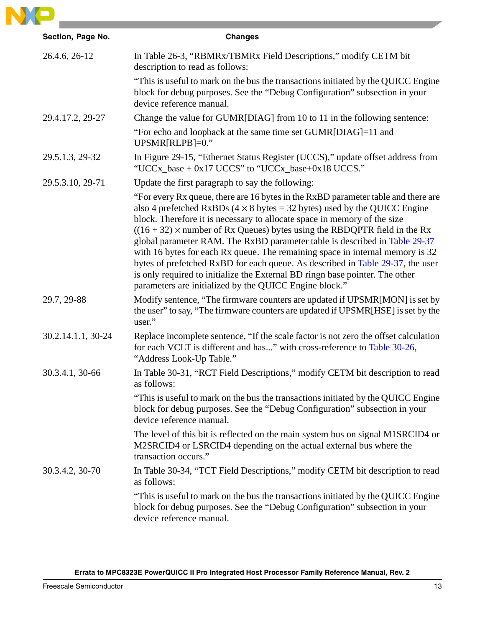

| Section, Page No.  | <b>Changes</b>                                                                                                                                                                                                                                                                                                                                                                                                                                                                                                                                                                                                                                                                                                                    |
|--------------------|-----------------------------------------------------------------------------------------------------------------------------------------------------------------------------------------------------------------------------------------------------------------------------------------------------------------------------------------------------------------------------------------------------------------------------------------------------------------------------------------------------------------------------------------------------------------------------------------------------------------------------------------------------------------------------------------------------------------------------------|
| 26.4.6, 26-12      | In Table 26-3, "RBMRx/TBMRx Field Descriptions," modify CETM bit<br>description to read as follows:                                                                                                                                                                                                                                                                                                                                                                                                                                                                                                                                                                                                                               |
|                    | "This is useful to mark on the bus the transactions initiated by the QUICC Engine<br>block for debug purposes. See the "Debug Configuration" subsection in your<br>device reference manual.                                                                                                                                                                                                                                                                                                                                                                                                                                                                                                                                       |
| 29.4.17.2, 29-27   | Change the value for GUMR[DIAG] from 10 to 11 in the following sentence:                                                                                                                                                                                                                                                                                                                                                                                                                                                                                                                                                                                                                                                          |
|                    | "For echo and loopback at the same time set GUMR[DIAG]=11 and<br>$UPSMR[RLPB]=0."$                                                                                                                                                                                                                                                                                                                                                                                                                                                                                                                                                                                                                                                |
| 29.5.1.3, 29-32    | In Figure 29-15, "Ethernet Status Register (UCCS)," update offset address from<br>"UCCx_base + $0x17$ UCCS" to "UCCx_base+ $0x18$ UCCS."                                                                                                                                                                                                                                                                                                                                                                                                                                                                                                                                                                                          |
| 29.5.3.10, 29-71   | Update the first paragraph to say the following:                                                                                                                                                                                                                                                                                                                                                                                                                                                                                                                                                                                                                                                                                  |
|                    | "For every Rx queue, there are 16 bytes in the RxBD parameter table and there are<br>also 4 prefetched RxBDs ( $4 \times 8$ bytes = 32 bytes) used by the QUICC Engine<br>block. Therefore it is necessary to allocate space in memory of the size<br>$((16 + 32) \times$ number of Rx Queues) bytes using the RBDQPTR field in the Rx<br>global parameter RAM. The RxBD parameter table is described in Table 29-37<br>with 16 bytes for each Rx queue. The remaining space in internal memory is 32<br>bytes of prefetched RxBD for each queue. As described in Table 29-37, the user<br>is only required to initialize the External BD ringn base pointer. The other<br>parameters are initialized by the QUICC Engine block." |
| 29.7, 29-88        | Modify sentence, "The firmware counters are updated if UPSMR[MON] is set by<br>the user" to say, "The firmware counters are updated if UPSMR[HSE] is set by the<br>user."                                                                                                                                                                                                                                                                                                                                                                                                                                                                                                                                                         |
| 30.2.14.1.1, 30-24 | Replace incomplete sentence, "If the scale factor is not zero the offset calculation<br>for each VCLT is different and has" with cross-reference to Table 30-26,<br>"Address Look-Up Table."                                                                                                                                                                                                                                                                                                                                                                                                                                                                                                                                      |
| 30.3.4.1, 30-66    | In Table 30-31, "RCT Field Descriptions," modify CETM bit description to read<br>as follows:                                                                                                                                                                                                                                                                                                                                                                                                                                                                                                                                                                                                                                      |
|                    | "This is useful to mark on the bus the transactions initiated by the QUICC Engine<br>block for debug purposes. See the "Debug Configuration" subsection in your<br>device reference manual.                                                                                                                                                                                                                                                                                                                                                                                                                                                                                                                                       |
|                    | The level of this bit is reflected on the main system bus on signal M1SRCID4 or<br>M2SRCID4 or LSRCID4 depending on the actual external bus where the<br>transaction occurs."                                                                                                                                                                                                                                                                                                                                                                                                                                                                                                                                                     |
| 30.3.4.2, 30-70    | In Table 30-34, "TCT Field Descriptions," modify CETM bit description to read<br>as follows:                                                                                                                                                                                                                                                                                                                                                                                                                                                                                                                                                                                                                                      |
|                    | "This is useful to mark on the bus the transactions initiated by the QUICC Engine<br>block for debug purposes. See the "Debug Configuration" subsection in your<br>device reference manual.                                                                                                                                                                                                                                                                                                                                                                                                                                                                                                                                       |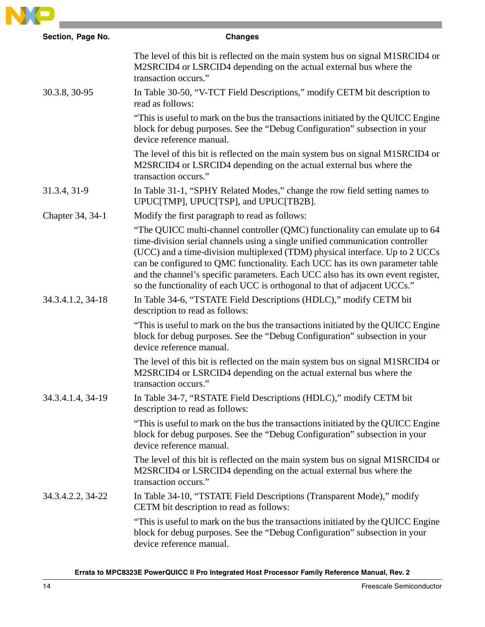

| Section, Page No. | <b>Changes</b>                                                                                                                                                                                                                                                                                                                                                                                                                                                                                 |
|-------------------|------------------------------------------------------------------------------------------------------------------------------------------------------------------------------------------------------------------------------------------------------------------------------------------------------------------------------------------------------------------------------------------------------------------------------------------------------------------------------------------------|
|                   | The level of this bit is reflected on the main system bus on signal M1SRCID4 or<br>M2SRCID4 or LSRCID4 depending on the actual external bus where the<br>transaction occurs."                                                                                                                                                                                                                                                                                                                  |
| 30.3.8, 30-95     | In Table 30-50, "V-TCT Field Descriptions," modify CETM bit description to<br>read as follows:                                                                                                                                                                                                                                                                                                                                                                                                 |
|                   | "This is useful to mark on the bus the transactions initiated by the QUICC Engine<br>block for debug purposes. See the "Debug Configuration" subsection in your<br>device reference manual.                                                                                                                                                                                                                                                                                                    |
|                   | The level of this bit is reflected on the main system bus on signal M1SRCID4 or<br>M2SRCID4 or LSRCID4 depending on the actual external bus where the<br>transaction occurs."                                                                                                                                                                                                                                                                                                                  |
| 31.3.4, 31-9      | In Table 31-1, "SPHY Related Modes," change the row field setting names to<br>UPUC[TMP], UPUC[TSP], and UPUC[TB2B].                                                                                                                                                                                                                                                                                                                                                                            |
| Chapter 34, 34-1  | Modify the first paragraph to read as follows:                                                                                                                                                                                                                                                                                                                                                                                                                                                 |
|                   | "The QUICC multi-channel controller (QMC) functionality can emulate up to 64<br>time-division serial channels using a single unified communication controller<br>(UCC) and a time-division multiplexed (TDM) physical interface. Up to 2 UCCs<br>can be configured to QMC functionality. Each UCC has its own parameter table<br>and the channel's specific parameters. Each UCC also has its own event register,<br>so the functionality of each UCC is orthogonal to that of adjacent UCCs." |
| 34.3.4.1.2, 34-18 | In Table 34-6, "TSTATE Field Descriptions (HDLC)," modify CETM bit<br>description to read as follows:                                                                                                                                                                                                                                                                                                                                                                                          |
|                   | "This is useful to mark on the bus the transactions initiated by the QUICC Engine<br>block for debug purposes. See the "Debug Configuration" subsection in your<br>device reference manual.                                                                                                                                                                                                                                                                                                    |
|                   | The level of this bit is reflected on the main system bus on signal M1SRCID4 or<br>M2SRCID4 or LSRCID4 depending on the actual external bus where the<br>transaction occurs."                                                                                                                                                                                                                                                                                                                  |
| 34.3.4.1.4, 34-19 | In Table 34-7, "RSTATE Field Descriptions (HDLC)," modify CETM bit<br>description to read as follows:                                                                                                                                                                                                                                                                                                                                                                                          |
|                   | "This is useful to mark on the bus the transactions initiated by the QUICC Engine<br>block for debug purposes. See the "Debug Configuration" subsection in your<br>device reference manual.                                                                                                                                                                                                                                                                                                    |
|                   | The level of this bit is reflected on the main system bus on signal M1SRCID4 or<br>M2SRCID4 or LSRCID4 depending on the actual external bus where the<br>transaction occurs."                                                                                                                                                                                                                                                                                                                  |
| 34.3.4.2.2, 34-22 | In Table 34-10, "TSTATE Field Descriptions (Transparent Mode)," modify<br>CETM bit description to read as follows:                                                                                                                                                                                                                                                                                                                                                                             |
|                   | "This is useful to mark on the bus the transactions initiated by the QUICC Engine<br>block for debug purposes. See the "Debug Configuration" subsection in your<br>device reference manual.                                                                                                                                                                                                                                                                                                    |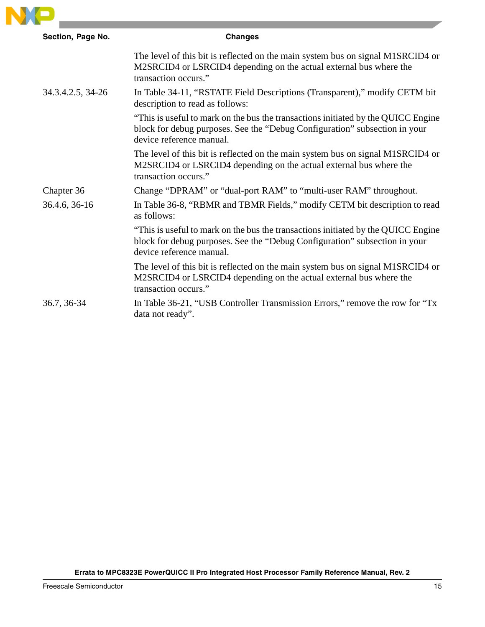

| Section, Page No. | <b>Changes</b>                                                                                                                                                                              |
|-------------------|---------------------------------------------------------------------------------------------------------------------------------------------------------------------------------------------|
|                   | The level of this bit is reflected on the main system bus on signal M1SRCID4 or<br>M2SRCID4 or LSRCID4 depending on the actual external bus where the<br>transaction occurs."               |
| 34.3.4.2.5, 34-26 | In Table 34-11, "RSTATE Field Descriptions (Transparent)," modify CETM bit<br>description to read as follows:                                                                               |
|                   | "This is useful to mark on the bus the transactions initiated by the QUICC Engine<br>block for debug purposes. See the "Debug Configuration" subsection in your<br>device reference manual. |
|                   | The level of this bit is reflected on the main system bus on signal M1SRCID4 or<br>M2SRCID4 or LSRCID4 depending on the actual external bus where the<br>transaction occurs."               |
| Chapter 36        | Change "DPRAM" or "dual-port RAM" to "multi-user RAM" throughout.                                                                                                                           |
| 36.4.6, 36-16     | In Table 36-8, "RBMR and TBMR Fields," modify CETM bit description to read<br>as follows:                                                                                                   |
|                   | "This is useful to mark on the bus the transactions initiated by the QUICC Engine<br>block for debug purposes. See the "Debug Configuration" subsection in your<br>device reference manual. |
|                   | The level of this bit is reflected on the main system bus on signal M1SRCID4 or<br>M2SRCID4 or LSRCID4 depending on the actual external bus where the<br>transaction occurs."               |
| 36.7, 36-34       | In Table 36-21, "USB Controller Transmission Errors," remove the row for "Tx"<br>data not ready".                                                                                           |